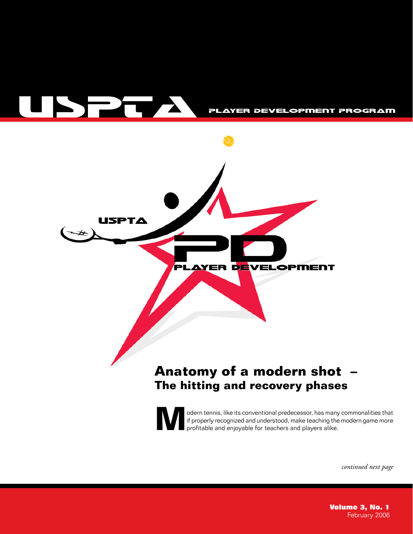



odern tennis, like its conventional predecessor, has many commonalities that if properly recognized and understood, make teaching the modern game more profitable and enjoyable for teachers and players alike. if properly recognized and understood, make teaching the modern game more profitable and enjoyable for teachers and players alike.

*continued next page*

**Volume 3, No. 1** February 2006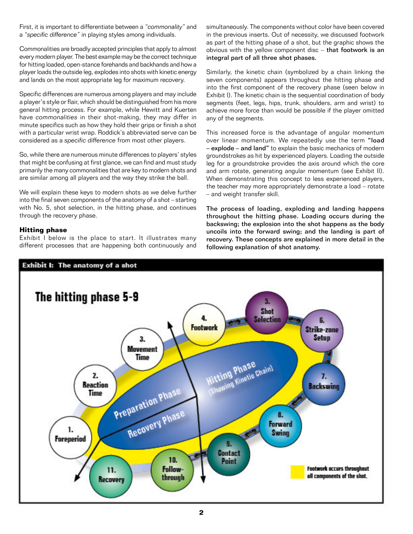First, it is important to differentiate between a "commonality" and a *ìspecific differenceî* in playing styles among individuals.

Commonalities are broadly accepted principles that apply to almost every modern player. The best example may be the correct technique for hitting loaded, open-stance forehands and backhands and how a player loads the outside leg, explodes into shots with kinetic energy and lands on the most appropriate leg for maximum recovery.

Specific differences are numerous among players and may include a player's style or flair, which should be distinguished from his more general hitting process. For example, while Hewitt and Kuerten have *commonalities* in their shot-making, they may differ in minute specifics such as how they hold their grips or finish a shot with a particular wrist wrap. Roddick's abbreviated serve can be considered as a *specific difference* from most other players.

So, while there are numerous minute differences to players' styles that might be confusing at first glance, we can find and must study primarily the many commonalities that are key to modern shots and are similar among all players and the way they strike the ball.

We will explain these keys to modern shots as we delve further into the final seven components of the anatomy of a shot - starting with No. 5, shot selection, in the hitting phase, and continues through the recovery phase.

## **Hitting phase**

Exhibit I below is the place to start. It illustrates many different processes that are happening both continuously and simultaneously. The components without color have been covered in the previous inserts. Out of necessity, we discussed footwork as part of the hitting phase of a shot, but the graphic shows the obvious with the yellow component disc  $-$  that footwork is an integral part of all three shot phases.

Similarly, the kinetic chain (symbolized by a chain linking the seven components) appears throughout the hitting phase and into the first component of the recovery phase (seen below in Exhibit I). The kinetic chain is the sequential coordination of body segments (feet, legs, hips, trunk, shoulders, arm and wrist) to achieve more force than would be possible if the player omitted any of the segments.

This increased force is the advantage of angular momentum over linear momentum. We repeatedly use the term "load - explode - and land" to explain the basic mechanics of modern groundstrokes as hit by experienced players. Loading the outside leg for a groundstroke provides the axis around which the core and arm rotate, generating angular momentum (see Exhibit II). When demonstrating this concept to less experienced players, the teacher may more appropriately demonstrate a load - rotate - and weight transfer skill.

The process of loading, exploding and landing happens throughout the hitting phase. Loading occurs during the backswing; the explosion into the shot happens as the body uncoils into the forward swing; and the landing is part of recovery. These concepts are explained in more detail in the following explanation of shot anatomy.

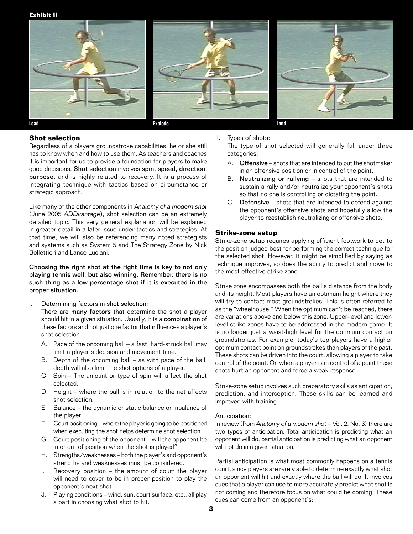**Exhibit II**



### **Shot selection**

Regardless of a players groundstroke capabilities, he or she still has to know when and how to use them. As teachers and coaches it is important for us to provide a foundation for players to make good decisions. Shot selection involves spin, speed, direction, purpose, and is highly related to recovery. It is a process of integrating technique with tactics based on circumstance or strategic approach.

Like many of the other components in *Anatomy of a modern shot* (June 2005 *ADDvantage*), shot selection can be an extremely detailed topic. This very general explanation will be explained in greater detail in a later issue under tactics and strategies. At that time, we will also be referencing many noted strategists and systems such as System 5 and The Strategy Zone by Nick Bollettieri and Lance Luciani.

Choosing the right shot at the right time is key to not only playing tennis well, but also winning. Remember, there is no such thing as a low percentage shot if it is executed in the proper situation.

I. Determining factors in shot selection:

There are many factors that determine the shot a player should hit in a given situation. Usually, it is a combination of these factors and not just one factor that influences a player's shot selection.

- A. Pace of the oncoming ball  $-$  a fast, hard-struck ball may limit a player's decision and movement time.
- B. Depth of the oncoming ball  $-$  as with pace of the ball, depth will also limit the shot options of a player.
- C. Spin  $-$  The amount or type of spin will affect the shot selected.
- D. Height  $-$  where the ball is in relation to the net affects shot selection.
- $E.$  Balance the dynamic or static balance or inbalance of the player.
- F. Court positioning where the player is going to be positioned when executing the shot helps determine shot selection.
- G. Court positioning of the opponent  $-$  will the opponent be in or out of position when the shot is played?
- H. Strengths/weaknesses both the player's and opponent's strengths and weaknesses must be considered.
- I. Recovery position  $-$  the amount of court the player will need to cover to be in proper position to play the opponent's next shot.
- J. Playing conditions wind, sun, court surface, etc., all play a part in choosing what shot to hit.

II. Types of shots:

The type of shot selected will generally fall under three categories:

- A. Offensive  $-$  shots that are intended to put the shotmaker in an offensive position or in control of the point.
- B. Neutralizing or rallying  $-$  shots that are intended to sustain a rally and/or neutralize your opponent's shots so that no one is controlling or dictating the point.
- C. Defensive  $-$  shots that are intended to defend against the opponent's offensive shots and hopefully allow the player to reestablish neutralizing or offensive shots.

## **Strike-zone setup**

Strike-zone setup requires applying efficient footwork to get to the position judged best for performing the correct technique for the selected shot. However, it might be simplified by saying as technique improves, so does the ability to predict and move to the most effective strike zone.

Strike zone encompasses both the ball's distance from the body and its height. Most players have an optimum height where they will try to contact most groundstrokes. This is often referred to as the "wheelhouse." When the optimum can't be reached, there are variations above and below this zone. Upper-level and lowerlevel strike zones have to be addressed in the modern game. It is no longer just a waist-high level for the optimum contact on groundstrokes. For example, todayís top players have a higher optimum contact point on groundstrokes than players of the past. These shots can be driven into the court, allowing a player to take control of the point. Or, when a player is in control of a point these shots hurt an opponent and force a weak response.

Strike-zone setup involves such preparatory skills as anticipation, prediction, and interception. These skills can be learned and improved with training.

### Anticipation:

In review (from *Anatomy of a modern shot - Vol. 2, No. 3*) there are two types of anticipation. Total anticipation is predicting what an opponent will do; partial anticipation is predicting what an opponent will not do in a given situation.

Partial anticipation is what most commonly happens on a tennis court, since players are rarely able to determine exactly what shot an opponent will hit and exactly where the ball will go. It involves cues that a player can use to more accurately predict what shot is not coming and therefore focus on what could be coming. These cues can come from an opponent's: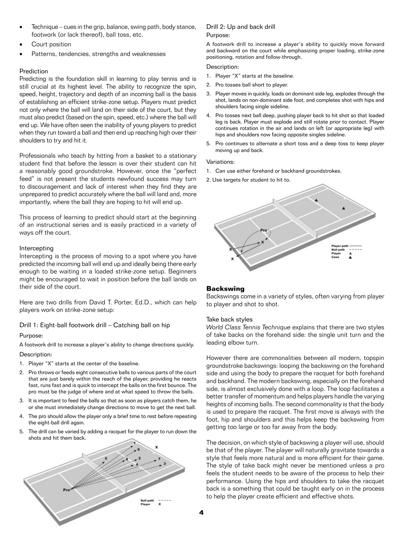- Technique cues in the grip, balance, swing path, body stance, footwork (or lack thereof), ball toss, etc.
- Court position
- Patterns, tendencies, strengths and weaknesses

## **Prediction**

Predicting is the foundation skill in learning to play tennis and is still crucial at its highest level. The ability to recognize the spin, speed, height, trajectory and depth of an incoming ball is the basis of establishing an efficient strike-zone setup. Players must predict not only where the ball will land on their side of the court, but they must also predict (based on the spin, speed, etc.) where the ball will end up. We have often seen the inability of young players to predict when they run toward a ball and then end up reaching high over their shoulders to try and hit it.

Professionals who teach by hitting from a basket to a stationary student find that before the lesson is over their student can hit a reasonably good groundstroke. However, once the "perfect feed" is not present the students newfound success may turn to discouragement and lack of interest when they find they are unprepared to predict accurately where the ball will land and, more importantly, where the ball they are hoping to hit will end up.

This process of learning to predict should start at the beginning of an instructional series and is easily practiced in a variety of ways off the court.

## Intercepting

Intercepting is the process of moving to a spot where you have predicted the incoming ball will end up and ideally being there early enough to be waiting in a loaded strike-zone setup. Beginners might be encouraged to wait in position before the ball lands on their side of the court.

Here are two drills from David T. Porter, Ed.D., which can help players work on strike-zone setup:

Drill 1: Eight-ball footwork drill - Catching ball on hip

## Purpose:

A footwork drill to increase a player's ability to change directions quickly. Description:

- 1. Player "X" starts at the center of the baseline.
- 2. Pro throws or feeds eight consecutive balls to various parts of the court that are just barely within the reach of the player, providing he reacts fast, runs fast and is quick to intercept the balls on the first bounce. The pro must be the judge of where and at what speed to throw the balls.
- 3. It is important to feed the balls so that as soon as players catch them, he or she must immediately change directions to move to get the next ball.
- 4. The pro should allow the player only a brief time to rest before repeating the eight-ball drill again.
- 5. The drill can be varied by adding a racquet for the player to run down the shots and hit them back.



### Drill 2: Up and back drill Purpose:

A footwork drill to increase a player's ability to quickly move forward and backward on the court while emphasizing proper loading, strike-zone positioning, rotation and follow-through.

Description:

- 1. Player "X" starts at the baseline.
- 2. Pro tosses ball short to player.
- 3. Player moves in quickly, loads on dominant side leg, explodes through the shot, lands on non-dominant side foot, and completes shot with hips and shoulders facing single sideline.
- 4. Pro tosses next ball deep, pushing player back to hit shot so that loaded leg is back. Player must explode and still rotate prior to contact. Player continues rotation in the air and lands on left (or appropriate leg) with hips and shoulders now facing opposite singles sideline.
- 5. Pro continues to alternate a short toss and a deep toss to keep player moving up and back.

### Variations:

- 1. Can use either forehand or backhand groundstrokes.
- 2. Use targets for student to hit to.



## **Backswing**

Backswings come in a variety of styles, often varying from player to player and shot to shot.

### Take back styles

*World Class Tennis Technique* explains that there are two styles of take backs on the forehand side: the single unit turn and the leading elbow turn.

However there are commonalities between all modern, topspin groundstroke backswings: looping the backswing on the forehand side and using the body to prepare the racquet for both forehand and backhand. The modern backswing, especially on the forehand side, is almost exclusively done with a loop. The loop facilitates a better transfer of momentum and helps players handle the varying heights of incoming balls. The second commonality is that the body is used to prepare the racquet. The first move is always with the foot, hip and shoulders and this helps keep the backswing from getting too large or too far away from the body.

The decision, on which style of backswing a player will use, should be that of the player. The player will naturally gravitate towards a style that feels more natural and is more efficient for their game. The style of take back might never be mentioned unless a pro feels the student needs to be aware of the process to help their performance. Using the hips and shoulders to take the racquet back is a something that could be taught early on in the process to help the player create efficient and effective shots.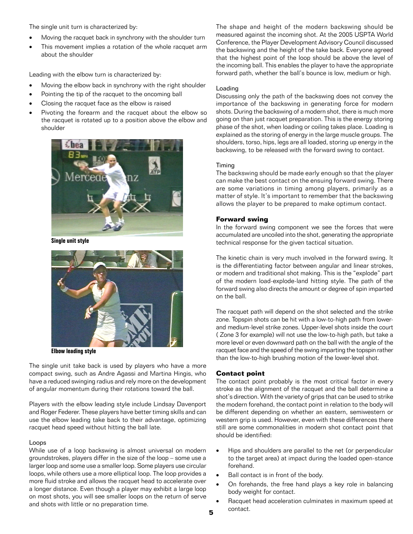The single unit turn is characterized by:

- Moving the racquet back in synchrony with the shoulder turn
- · This movement implies a rotation of the whole racquet arm about the shoulder

Leading with the elbow turn is characterized by:

- Moving the elbow back in synchrony with the right shoulder
- · Pointing the tip of the racquet to the oncoming ball
- Closing the racquet face as the elbow is raised
- Pivoting the forearm and the racquet about the elbow so the racquet is rotated up to a position above the elbow and shoulder



**Single unit style** 



**Elbow leading style**

The single unit take back is used by players who have a more compact swing, such as Andre Agassi and Martina Hingis, who have a reduced swinging radius and rely more on the development of angular momentum during their rotations toward the ball.

Players with the elbow leading style include Lindsay Davenport and Roger Federer. These players have better timing skills and can use the elbow leading take back to their advantage, optimizing racquet head speed without hitting the ball late.

#### Loops

While use of a loop backswing is almost universal on modern groundstrokes, players differ in the size of the loop  $-$  some use a larger loop and some use a smaller loop. Some players use circular loops, while others use a more elliptical loop. The loop provides a more fluid stroke and allows the racquet head to accelerate over a longer distance. Even though a player may exhibit a large loop on most shots, you will see smaller loops on the return of serve and shots with little or no preparation time.

The shape and height of the modern backswing should be measured against the incoming shot. At the 2005 USPTA World Conference, the Player Development Advisory Council discussed the backswing and the height of the take back. Everyone agreed that the highest point of the loop should be above the level of the incoming ball. This enables the player to have the appropriate forward path, whether the ball's bounce is low, medium or high.

## Loading

Discussing only the path of the backswing does not convey the importance of the backswing in generating force for modern shots. During the backswing of a modern shot, there is much more going on than just racquet preparation. This is the energy storing phase of the shot, when loading or coiling takes place. Loading is explained as the storing of energy in the large muscle groups. The shoulders, torso, hips, legs are all loaded, storing up energy in the backswing, to be released with the forward swing to contact.

#### Timing

The backswing should be made early enough so that the player can make the best contact on the ensuing forward swing. There are some variations in timing among players, primarily as a matter of style. It's important to remember that the backswing allows the player to be prepared to make optimum contact.

## **Forward swing**

In the forward swing component we see the forces that were accumulated are uncoiled into the shot, generating the appropriate technical response for the given tactical situation.

The kinetic chain is very much involved in the forward swing. It is the differentiating factor between angular and linear strokes, or modern and traditional shot making. This is the "explode" part of the modern load-explode-land hitting style. The path of the forward swing also directs the amount or degree of spin imparted on the ball.

The racquet path will depend on the shot selected and the strike zone. Topspin shots can be hit with a low-to-high path from lowerand medium-level strike zones. Upper-level shots inside the court ( Zone 3 for example) will not use the low-to-high path, but take a more level or even downward path on the ball with the angle of the racquet face and the speed of the swing imparting the topspin rather than the low-to-high brushing motion of the lower-level shot.

#### **Contact point**

The contact point probably is the most critical factor in every stroke as the alignment of the racquet and the ball determine a shot's direction. With the variety of grips that can be used to strike the modern forehand, the contact point in relation to the body will be different depending on whether an eastern, semiwestern or western grip is used. However, even with these differences there still are some commonalities in modern shot contact point that should be identified:

- · Hips and shoulders are parallel to the net (or perpendicular to the target area) at impact during the loaded open-stance forehand.
- Ball contact is in front of the body.
- · On forehands, the free hand plays a key role in balancing body weight for contact.
- Racquet head acceleration culminates in maximum speed at contact.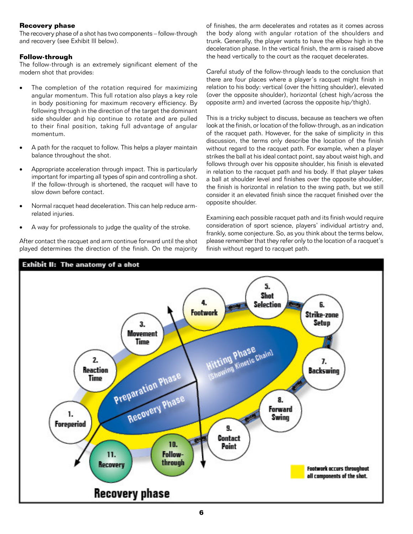## **Recovery phase**

The recovery phase of a shot has two components - follow-through and recovery (see Exhibit III below).

## **Follow-through**

The follow-through is an extremely significant element of the modern shot that provides:

- · The completion of the rotation required for maximizing angular momentum. This full rotation also plays a key role in body positioning for maximum recovery efficiency. By following through in the direction of the target the dominant side shoulder and hip continue to rotate and are pulled to their final position, taking full advantage of angular momentum.
- A path for the racquet to follow. This helps a player maintain balance throughout the shot.
- · Appropriate acceleration through impact. This is particularly important for imparting all types of spin and controlling a shot. If the follow-through is shortened, the racquet will have to slow down before contact.
- · Normal racquet head deceleration. This can help reduce armrelated injuries.
- A way for professionals to judge the quality of the stroke.

After contact the racquet and arm continue forward until the shot played determines the direction of the finish. On the majority

of finishes, the arm decelerates and rotates as it comes across the body along with angular rotation of the shoulders and trunk. Generally, the player wants to have the elbow high in the deceleration phase. In the vertical finish, the arm is raised above the head vertically to the court as the racquet decelerates.

Careful study of the follow-through leads to the conclusion that there are four places where a player's racquet might finish in relation to his body: vertical (over the hitting shoulder), elevated (over the opposite shoulder), horizontal (chest high/across the opposite arm) and inverted (across the opposite hip/thigh).

This is a tricky subject to discuss, because as teachers we often look at the finish, or location of the follow-through, as an indication of the racquet path. However, for the sake of simplicity in this discussion, the terms only describe the location of the finish without regard to the racquet path. For example, when a player strikes the ball at his ideal contact point, say about waist high, and follows through over his opposite shoulder, his finish is elevated in relation to the racquet path and his body. If that player takes a ball at shoulder level and finishes over the opposite shoulder, the finish is horizontal in relation to the swing path, but we still consider it an elevated finish since the racquet finished over the opposite shoulder.

Examining each possible racquet path and its finish would require consideration of sport science, players' individual artistry and, frankly, some conjecture. So, as you think about the terms below, please remember that they refer only to the location of a racquet's finish without regard to racquet path.

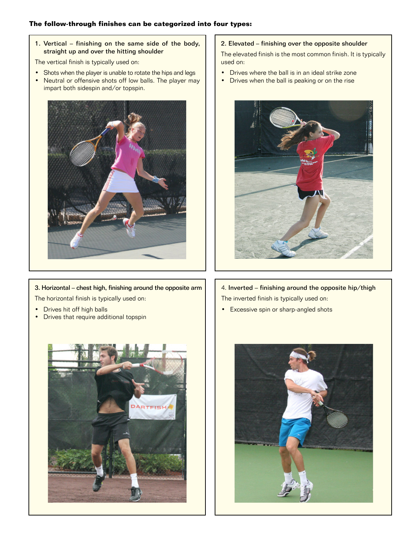## **The follow-through finishes can be categorized into four types:**

1. Vertical  $-$  finishing on the same side of the body, straight up and over the hitting shoulder

The vertical finish is typically used on:

- Shots when the player is unable to rotate the hips and legs
- Neutral or offensive shots off low balls. The player may impart both sidespin and/or topspin.



3. Horizontal – chest high, finishing around the opposite arm The horizontal finish is typically used on:

- Drives hit off high balls
- Drives that require additional topspin



## 2. Elevated - finishing over the opposite shoulder

The elevated finish is the most common finish. It is typically used on:

- Drives where the ball is in an ideal strike zone
- Drives when the ball is peaking or on the rise



# 4. Inverted  $-$  finishing around the opposite hip/thigh The inverted finish is typically used on:

**•** Excessive spin or sharp-angled shots